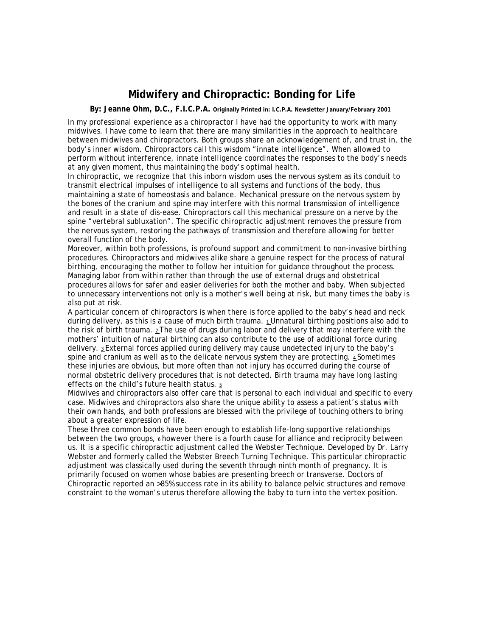## **Midwifery and Chiropractic: Bonding for Life**

**By: Jeanne Ohm, D.C., F.I.C.P.A. Originally Printed in: I.C.P.A. Newsletter January/February 2001** 

In my professional experience as a chiropractor I have had the opportunity to work with many midwives. I have come to learn that there are many similarities in the approach to healthcare between midwives and chiropractors. Both groups share an acknowledgement of, and trust in, the body's inner wisdom. Chiropractors call this wisdom "innate intelligence". When allowed to perform without interference, innate intelligence coordinates the responses to the body's needs at any given moment, thus maintaining the body's optimal health.

In chiropractic, we recognize that this inborn wisdom uses the nervous system as its conduit to transmit electrical impulses of intelligence to all systems and functions of the body, thus maintaining a state of homeostasis and balance. Mechanical pressure on the nervous system by the bones of the cranium and spine may interfere with this normal transmission of intelligence and result in a state of dis-ease. Chiropractors call this mechanical pressure on a nerve by the spine "vertebral subluxation". The specific chiropractic adjustment removes the pressure from the nervous system, restoring the pathways of transmission and therefore allowing for better overall function of the body.

Moreover, within both professions, is profound support and commitment to non-invasive birthing procedures. Chiropractors and midwives alike share a genuine respect for the process of natural birthing, encouraging the mother to follow her intuition for guidance throughout the process. Managing labor from within rather than through the use of external drugs and obstetrical procedures allows for safer and easier deliveries for both the mother and baby. When subjected to unnecessary interventions not only is a mother's well being at risk, but many times the baby is also put at risk.

A particular concern of chiropractors is when there is force applied to the baby's head and neck during delivery, as this is a cause of much birth trauma. 1 Unnatural birthing positions also add to the risk of birth trauma.  $2$ The use of drugs during labor and delivery that may interfere with the mothers' intuition of natural birthing can also contribute to the use of additional force during delivery. 3 External forces applied during delivery may cause undetected injury to the baby's spine and cranium as well as to the delicate nervous system they are protecting. 4 Sometimes these injuries are obvious, but more often than not injury has occurred during the course of normal obstetric delivery procedures that is not detected. Birth trauma may have long lasting effects on the child's future health status. 5

Midwives and chiropractors also offer care that is personal to each individual and specific to every case. Midwives and chiropractors also share the unique ability to assess a patient's status with their own hands, and both professions are blessed with the privilege of touching others to bring about a greater expression of life.

These three common bonds have been enough to establish life-long supportive relationships between the two groups, 6 however there is a fourth cause for alliance and reciprocity between us. It is a specific chiropractic adjustment called the Webster Technique. Developed by Dr. Larry Webster and formerly called the Webster Breech Turning Technique. This particular chiropractic adjustment was classically used during the seventh through ninth month of pregnancy. It is primarily focused on women whose babies are presenting breech or transverse. Doctors of Chiropractic reported an >85% success rate in its ability to balance pelvic structures and remove constraint to the woman's uterus therefore allowing the baby to turn into the vertex position.